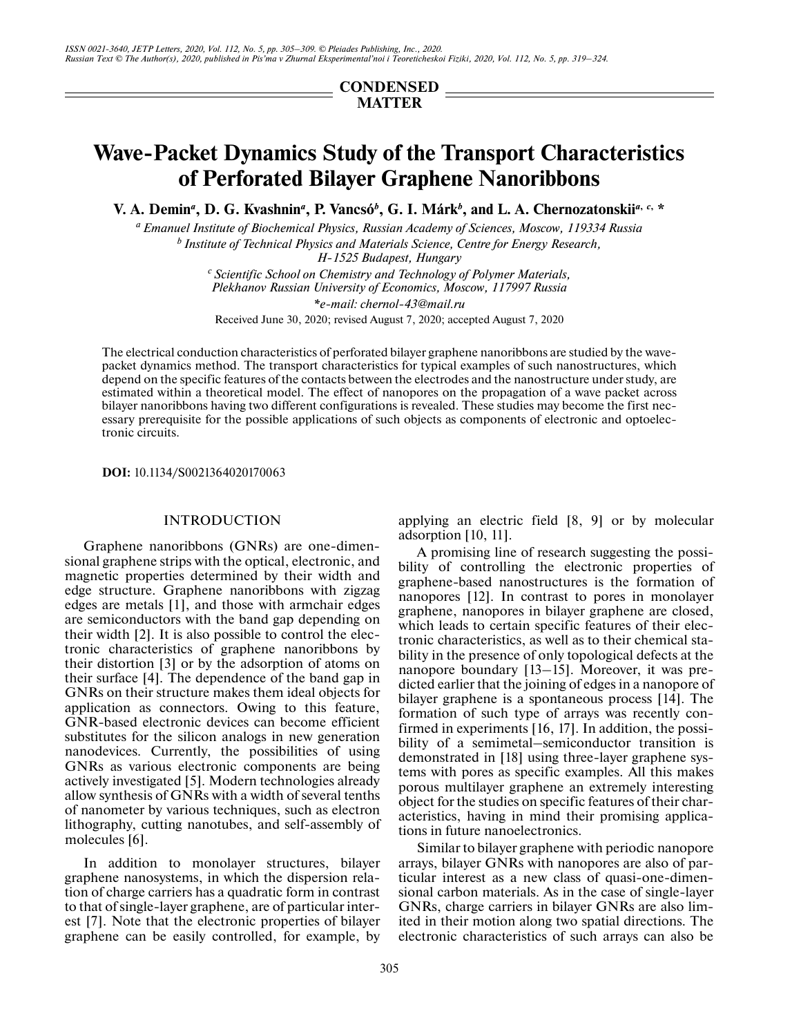## **CONDENSED MATTER**

# **Wave-Packet Dynamics Study of the Transport Characteristics of Perforated Bilayer Graphene Nanoribbons**

**V. A. Demin<sup>a</sup>, D. G. Kvashnin<sup>a</sup>, P. Vancsó<sup>b</sup>, G. I. Márk<sup>b</sup>, and L. A. Chernozatonskii<sup>a, c,</sup> \*** 

*a Emanuel Institute of Biochemical Physics, Russian Academy of Sciences, Moscow, 119334 Russia b Institute of Technical Physics and Materials Science, Centre for Energy Research, H-1525 Budapest, Hungary*

> *c Scientific School on Chemistry and Technology of Polymer Materials, Plekhanov Russian University of Economics, Moscow, 117997 Russia \*e-mail: chernol-43@mail.ru*

Received June 30, 2020; revised August 7, 2020; accepted August 7, 2020

The electrical conduction characteristics of perforated bilayer graphene nanoribbons are studied by the wavepacket dynamics method. The transport characteristics for typical examples of such nanostructures, which depend on the specific features of the contacts between the electrodes and the nanostructure under study, are estimated within a theoretical model. The effect of nanopores on the propagation of a wave packet across bilayer nanoribbons having two different configurations is revealed. These studies may become the first necessary prerequisite for the possible applications of such objects as components of electronic and optoelectronic circuits.

**DOI:** 10.1134/S0021364020170063

### INTRODUCTION

Graphene nanoribbons (GNRs) are one-dimensional graphene strips with the optical, electronic, and magnetic properties determined by their width and edge structure. Graphene nanoribbons with zigzag edges are metals [1], and those with armchair edges are semiconductors with the band gap depending on their width [2]. It is also possible to control the electronic characteristics of graphene nanoribbons by their distortion [3] or by the adsorption of atoms on their surface [4]. The dependence of the band gap in GNRs on their structure makes them ideal objects for application as connectors. Owing to this feature, GNR-based electronic devices can become efficient substitutes for the silicon analogs in new generation nanodevices. Currently, the possibilities of using GNRs as various electronic components are being actively investigated [5]. Modern technologies already allow synthesis of GNRs with a width of several tenths of nanometer by various techniques, such as electron lithography, cutting nanotubes, and self-assembly of molecules [6].

In addition to monolayer structures, bilayer graphene nanosystems, in which the dispersion relation of charge carriers has a quadratic form in contrast to that of single-layer graphene, are of particular interest [7]. Note that the electronic properties of bilayer graphene can be easily controlled, for example, by applying an electric field [8, 9] or by molecular adsorption [10, 11].

A promising line of research suggesting the possibility of controlling the electronic properties of graphene-based nanostructures is the formation of nanopores [12]. In contrast to pores in monolayer graphene, nanopores in bilayer graphene are closed, which leads to certain specific features of their electronic characteristics, as well as to their chemical stability in the presence of only topological defects at the nanopore boundary [13–15]. Moreover, it was predicted earlier that the joining of edges in a nanopore of bilayer graphene is a spontaneous process [14]. The formation of such type of arrays was recently confirmed in experiments [16, 17]. In addition, the possibility of a semimetal–semiconductor transition is demonstrated in [18] using three-layer graphene systems with pores as specific examples. All this makes porous multilayer graphene an extremely interesting object for the studies on specific features of their characteristics, having in mind their promising applications in future nanoelectronics.

Similar to bilayer graphene with periodic nanopore arrays, bilayer GNRs with nanopores are also of particular interest as a new class of quasi-one-dimensional carbon materials. As in the case of single-layer GNRs, charge carriers in bilayer GNRs are also limited in their motion along two spatial directions. The electronic characteristics of such arrays can also be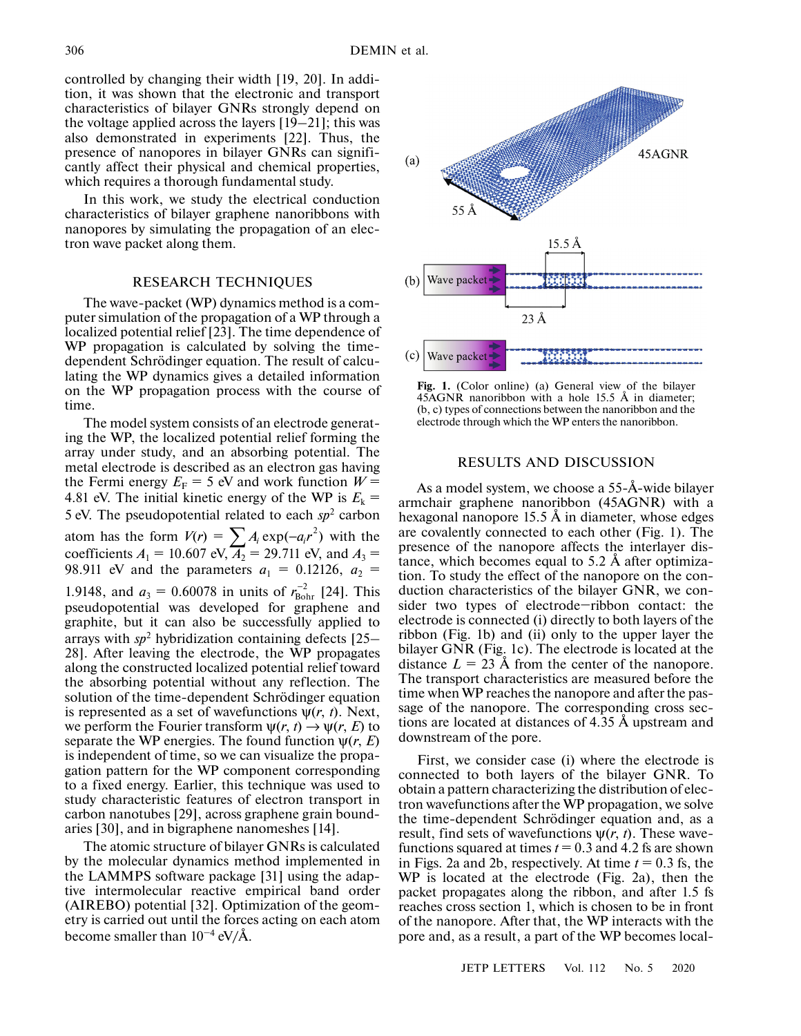controlled by changing their width [19, 20]. In addition, it was shown that the electronic and transport characteristics of bilayer GNRs strongly depend on the voltage applied across the layers [19–21]; this was also demonstrated in experiments [22]. Thus, the presence of nanopores in bilayer GNRs can significantly affect their physical and chemical properties, which requires a thorough fundamental study.

In this work, we study the electrical conduction characteristics of bilayer graphene nanoribbons with nanopores by simulating the propagation of an electron wave packet along them.

#### RESEARCH TECHNIQUES

The wave-packet (WP) dynamics method is a computer simulation of the propagation of a WP through a localized potential relief [23]. The time dependence of WP propagation is calculated by solving the timedependent Schrödinger equation. The result of calculating the WP dynamics gives a detailed information on the WP propagation process with the course of time.

The model system consists of an electrode generating the WP, the localized potential relief forming the array under study, and an absorbing potential. The metal electrode is described as an electron gas having the Fermi energy  $E_F = 5$  eV and work function  $W =$ 4.81 eV. The initial kinetic energy of the WP is  $E_k$  = 5 eV. The pseudopotential related to each  $sp<sup>2</sup>$  carbon atom has the form  $V(r) = \sum A_i \exp(-a_i r^2)$  with the coefficients  $A_1 = 10.607 \text{ eV}, \overline{A_2} = 29.711 \text{ eV}, \text{ and } A_3 =$ 98.911 eV and the parameters  $a_1 = 0.12126$ ,  $a_2 =$ 1.9148, and  $a_3 = 0.60078$  in units of  $r_{\text{Bohr}}^{-2}$  [24]. This pseudopotential was developed for graphene and graphite, but it can also be successfully applied to arrays with *sp*<sup>2</sup> hybridization containing defects [25– 28]. After leaving the electrode, the WP propagates along the constructed localized potential relief toward the absorbing potential without any reflection. The solution of the time-dependent Schrödinger equation is represented as a set of wavefunctions  $\psi(r, t)$ . Next, we perform the Fourier transform  $\psi(r, t) \rightarrow \psi(r, E)$  to separate the WP energies. The found function  $\psi(r, E)$ is independent of time, so we can visualize the propagation pattern for the WP component corresponding to a fixed energy. Earlier, this technique was used to study characteristic features of electron transport in carbon nanotubes [29], across graphene grain boundaries [30], and in bigraphene nanomeshes [14].  $\sum A_i \exp(-a_i r^2)$  $r_{\text{Bohr}}^{-2}$ 

The atomic structure of bilayer GNRs is calculated by the molecular dynamics method implemented in the LAMMPS software package [31] using the adaptive intermolecular reactive empirical band order (AIREBO) potential [32]. Optimization of the geometry is carried out until the forces acting on each atom become smaller than  $10^{-4}$  eV/Å.



**Fig. 1.** (Color online) (a) General view of the bilayer 45AGNR nanoribbon with a hole 15.5 Å in diameter; (b, c) types of connections between the nanoribbon and the electrode through which the WP enters the nanoribbon.

#### RESULTS AND DISCUSSION

As a model system, we choose a 55-Å-wide bilayer armchair graphene nanoribbon (45AGNR) with a hexagonal nanopore 15.5 Å in diameter, whose edges are covalently connected to each other (Fig. 1). The presence of the nanopore affects the interlayer distance, which becomes equal to 5.2 Å after optimization. To study the effect of the nanopore on the conduction characteristics of the bilayer GNR, we consider two types of electrode−ribbon contact: the electrode is connected (i) directly to both layers of the ribbon (Fig. 1b) and (ii) only to the upper layer the bilayer GNR (Fig. 1c). The electrode is located at the distance  $L = 23$  Å from the center of the nanopore. The transport characteristics are measured before the time when WP reaches the nanopore and after the passage of the nanopore. The corresponding cross sections are located at distances of 4.35 Å upstream and downstream of the pore.

First, we consider case (i) where the electrode is connected to both layers of the bilayer GNR. To obtain a pattern characterizing the distribution of electron wavefunctions after the WP propagation, we solve the time-dependent Schrödinger equation and, as a result, find sets of wavefunctions ψ(*r*, *t*). These wavefunctions squared at times  $t = 0.3$  and 4.2 fs are shown in Figs. 2a and 2b, respectively. At time *t* = 0.3 fs, the WP is located at the electrode (Fig. 2a), then the packet propagates along the ribbon, and after 1.5 fs reaches cross section 1, which is chosen to be in front of the nanopore. After that, the WP interacts with the pore and, as a result, a part of the WP becomes local-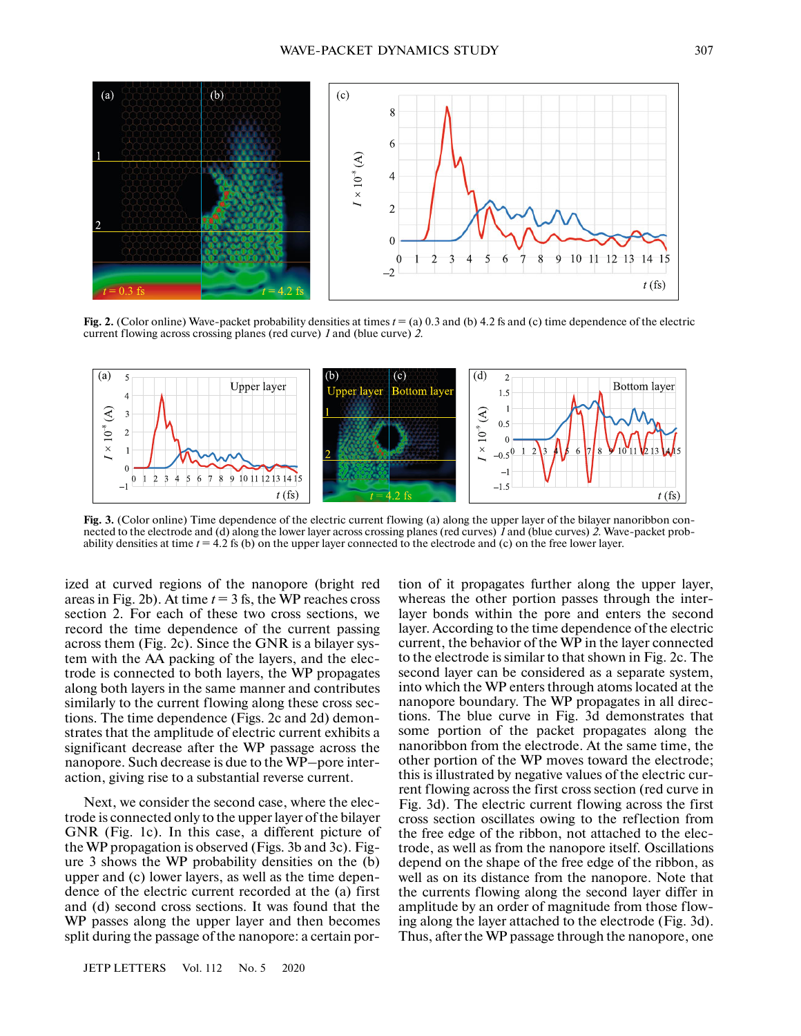

**Fig. 2.** (Color online) Wave-packet probability densities at times *t* = (a) 0.3 and (b) 4.2 fs and (c) time dependence of the electric current flowing across crossing planes (red curve) *1* and (blue curve) *2*.



**Fig. 3.** (Color online) Time dependence of the electric current flowing (a) along the upper layer of the bilayer nanoribbon connected to the electrode and (d) along the lower layer across crossing planes (red curves) *1* and (blue curves) *2*. Wave-packet probability densities at time *t* = 4.2 fs (b) on the upper layer connected to the electrode and (c) on the free lower layer.

ized at curved regions of the nanopore (bright red areas in Fig. 2b). At time  $t = 3$  fs, the WP reaches cross section 2. For each of these two cross sections, we record the time dependence of the current passing across them (Fig. 2c). Since the GNR is a bilayer system with the AA packing of the layers, and the electrode is connected to both layers, the WP propagates along both layers in the same manner and contributes similarly to the current flowing along these cross sections. The time dependence (Figs. 2c and 2d) demonstrates that the amplitude of electric current exhibits a significant decrease after the WP passage across the nanopore. Such decrease is due to the WP–pore interaction, giving rise to a substantial reverse current.

Next, we consider the second case, where the electrode is connected only to the upper layer of the bilayer GNR (Fig. 1c). In this case, a different picture of the WP propagation is observed (Figs. 3b and 3c). Figure 3 shows the WP probability densities on the (b) upper and (c) lower layers, as well as the time dependence of the electric current recorded at the (a) first and (d) second cross sections. It was found that the WP passes along the upper layer and then becomes split during the passage of the nanopore: a certain por-

JETP LETTERS Vol. 112 No. 5 2020

tion of it propagates further along the upper layer, whereas the other portion passes through the interlayer bonds within the pore and enters the second layer. According to the time dependence of the electric current, the behavior of the WP in the layer connected to the electrode is similar to that shown in Fig. 2c. The second layer can be considered as a separate system, into which the WP enters through atoms located at the nanopore boundary. The WP propagates in all directions. The blue curve in Fig. 3d demonstrates that some portion of the packet propagates along the nanoribbon from the electrode. At the same time, the other portion of the WP moves toward the electrode; this is illustrated by negative values of the electric current flowing across the first cross section (red curve in Fig. 3d). The electric current flowing across the first cross section oscillates owing to the reflection from the free edge of the ribbon, not attached to the electrode, as well as from the nanopore itself. Oscillations depend on the shape of the free edge of the ribbon, as well as on its distance from the nanopore. Note that the currents flowing along the second layer differ in amplitude by an order of magnitude from those flowing along the layer attached to the electrode (Fig. 3d). Thus, after the WP passage through the nanopore, one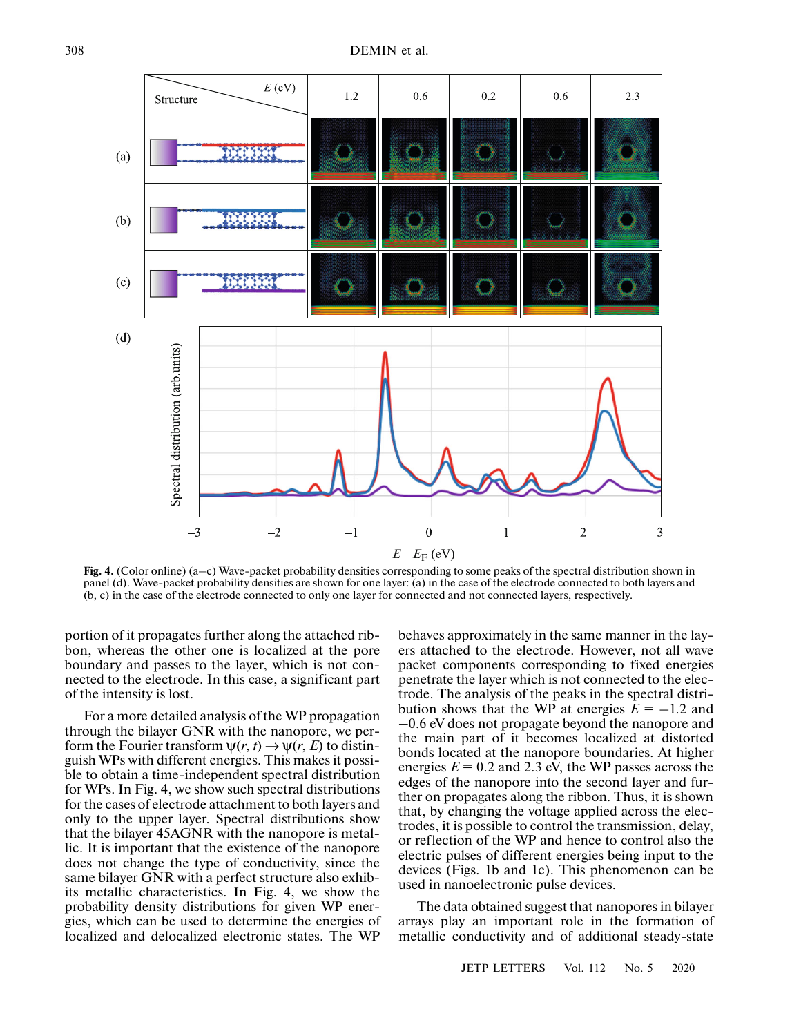

**Fig. 4.** (Color online) (a–c) Wave-packet probability densities corresponding to some peaks of the spectral distribution shown in panel (d). Wave-packet probability densities are shown for one layer: (a) in the case of the electrode connected to both layers and (b, c) in the case of the electrode connected to only one layer for connected and not connected layers, respectively.

portion of it propagates further along the attached ribbon, whereas the other one is localized at the pore boundary and passes to the layer, which is not connected to the electrode. In this case, a significant part of the intensity is lost.

For a more detailed analysis of the WP propagation through the bilayer GNR with the nanopore, we perform the Fourier transform  $\psi(r, t) \rightarrow \psi(r, E)$  to distinguish WPs with different energies. This makes it possible to obtain a time-independent spectral distribution for WPs. In Fig. 4, we show such spectral distributions for the cases of electrode attachment to both layers and only to the upper layer. Spectral distributions show that the bilayer 45AGNR with the nanopore is metallic. It is important that the existence of the nanopore does not change the type of conductivity, since the same bilayer GNR with a perfect structure also exhibits metallic characteristics. In Fig. 4, we show the probability density distributions for given WP energies, which can be used to determine the energies of localized and delocalized electronic states. The WP

behaves approximately in the same manner in the layers attached to the electrode. However, not all wave packet components corresponding to fixed energies penetrate the layer which is not connected to the electrode. The analysis of the peaks in the spectral distribution shows that the WP at energies  $\dot{E} = -1.2$  and  $-0.6$  eV does not propagate beyond the nanopore and the main part of it becomes localized at distorted bonds located at the nanopore boundaries. At higher energies  $E = 0.2$  and 2.3 eV, the WP passes across the edges of the nanopore into the second layer and further on propagates along the ribbon. Thus, it is shown that, by changing the voltage applied across the electrodes, it is possible to control the transmission, delay, or reflection of the WP and hence to control also the electric pulses of different energies being input to the devices (Figs. 1b and 1c). This phenomenon can be used in nanoelectronic pulse devices.

The data obtained suggest that nanopores in bilayer arrays play an important role in the formation of metallic conductivity and of additional steady-state

JETP LETTERS Vol. 112 No. 5 2020